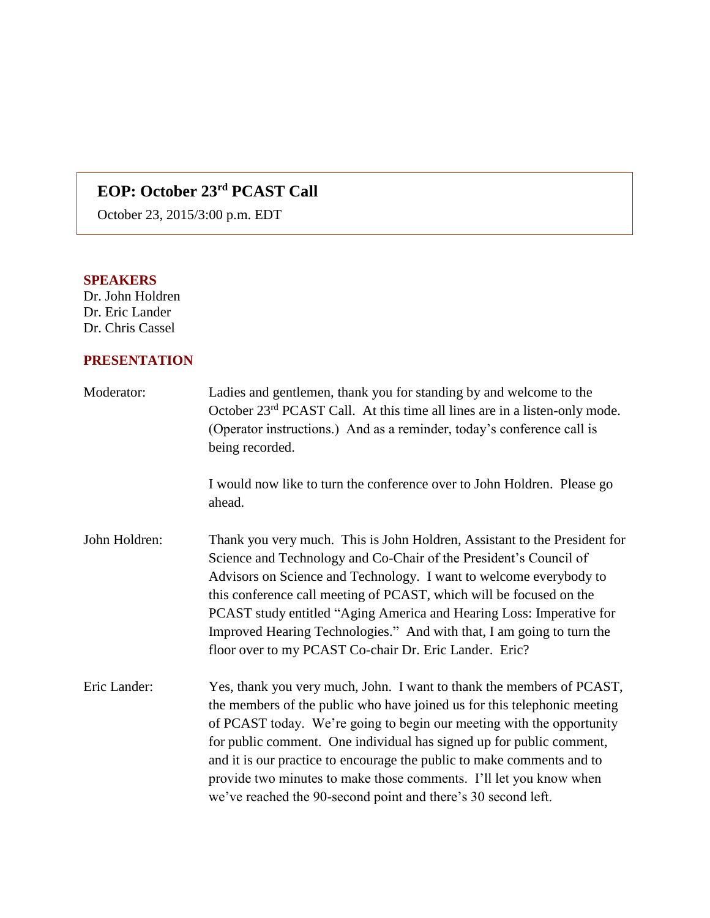## **EOP: October 23rd PCAST Call**

October 23, 2015/3:00 p.m. EDT

## **SPEAKERS**

Dr. John Holdren Dr. Eric Lander Dr. Chris Cassel

## **PRESENTATION**

| Moderator:    | Ladies and gentlemen, thank you for standing by and welcome to the<br>October 23 <sup>rd</sup> PCAST Call. At this time all lines are in a listen-only mode.<br>(Operator instructions.) And as a reminder, today's conference call is<br>being recorded.                                                                                                                                                                                                                                                           |
|---------------|---------------------------------------------------------------------------------------------------------------------------------------------------------------------------------------------------------------------------------------------------------------------------------------------------------------------------------------------------------------------------------------------------------------------------------------------------------------------------------------------------------------------|
|               | I would now like to turn the conference over to John Holdren. Please go<br>ahead.                                                                                                                                                                                                                                                                                                                                                                                                                                   |
| John Holdren: | Thank you very much. This is John Holdren, Assistant to the President for<br>Science and Technology and Co-Chair of the President's Council of<br>Advisors on Science and Technology. I want to welcome everybody to<br>this conference call meeting of PCAST, which will be focused on the<br>PCAST study entitled "Aging America and Hearing Loss: Imperative for<br>Improved Hearing Technologies." And with that, I am going to turn the<br>floor over to my PCAST Co-chair Dr. Eric Lander. Eric?              |
| Eric Lander:  | Yes, thank you very much, John. I want to thank the members of PCAST,<br>the members of the public who have joined us for this telephonic meeting<br>of PCAST today. We're going to begin our meeting with the opportunity<br>for public comment. One individual has signed up for public comment,<br>and it is our practice to encourage the public to make comments and to<br>provide two minutes to make those comments. I'll let you know when<br>we've reached the 90-second point and there's 30 second left. |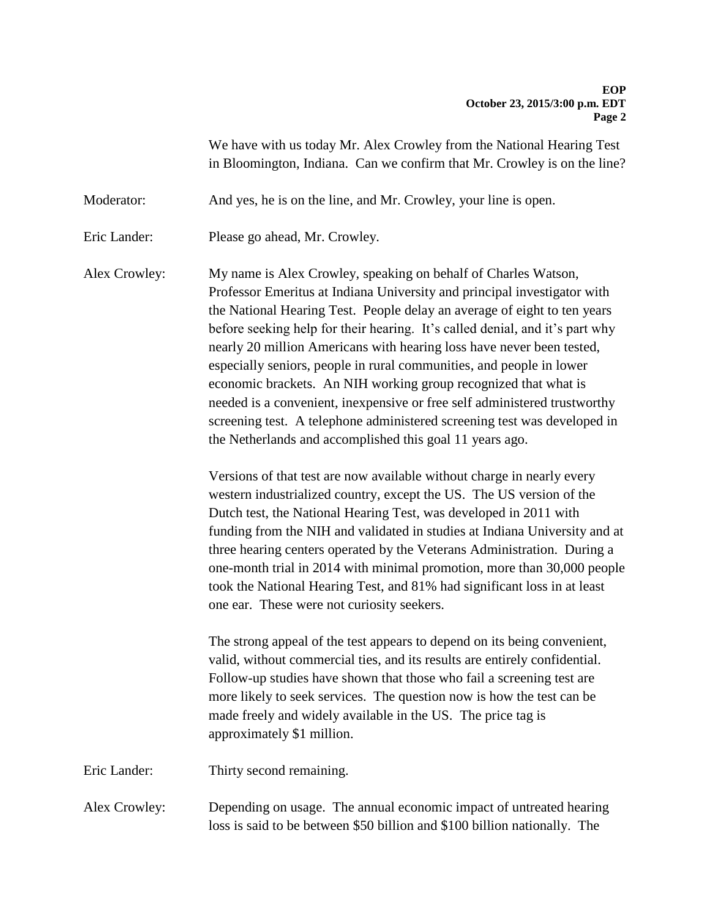We have with us today Mr. Alex Crowley from the National Hearing Test in Bloomington, Indiana. Can we confirm that Mr. Crowley is on the line?

Moderator: And yes, he is on the line, and Mr. Crowley, your line is open.

Eric Lander: Please go ahead, Mr. Crowley.

Alex Crowley: My name is Alex Crowley, speaking on behalf of Charles Watson, Professor Emeritus at Indiana University and principal investigator with the National Hearing Test. People delay an average of eight to ten years before seeking help for their hearing. It's called denial, and it's part why nearly 20 million Americans with hearing loss have never been tested, especially seniors, people in rural communities, and people in lower economic brackets. An NIH working group recognized that what is needed is a convenient, inexpensive or free self administered trustworthy screening test. A telephone administered screening test was developed in the Netherlands and accomplished this goal 11 years ago.

> Versions of that test are now available without charge in nearly every western industrialized country, except the US. The US version of the Dutch test, the National Hearing Test, was developed in 2011 with funding from the NIH and validated in studies at Indiana University and at three hearing centers operated by the Veterans Administration. During a one-month trial in 2014 with minimal promotion, more than 30,000 people took the National Hearing Test, and 81% had significant loss in at least one ear. These were not curiosity seekers.

The strong appeal of the test appears to depend on its being convenient, valid, without commercial ties, and its results are entirely confidential. Follow-up studies have shown that those who fail a screening test are more likely to seek services. The question now is how the test can be made freely and widely available in the US. The price tag is approximately \$1 million.

Eric Lander: Thirty second remaining.

Alex Crowley: Depending on usage. The annual economic impact of untreated hearing loss is said to be between \$50 billion and \$100 billion nationally. The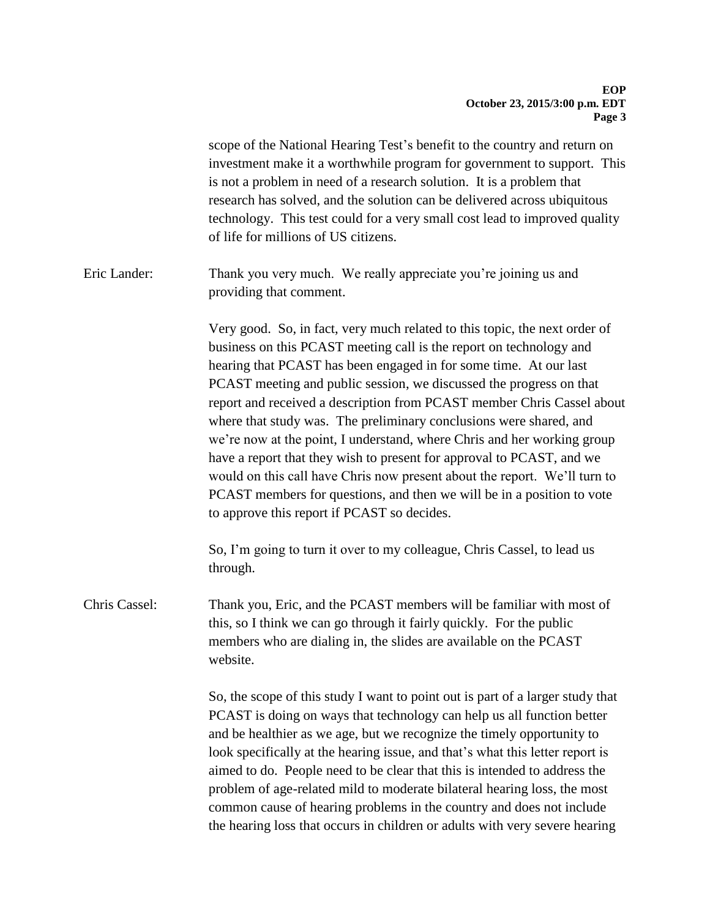|               | scope of the National Hearing Test's benefit to the country and return on<br>investment make it a worthwhile program for government to support. This<br>is not a problem in need of a research solution. It is a problem that<br>research has solved, and the solution can be delivered across ubiquitous<br>technology. This test could for a very small cost lead to improved quality<br>of life for millions of US citizens.                                                                                                                                                                                                                                                                                                                                                                         |
|---------------|---------------------------------------------------------------------------------------------------------------------------------------------------------------------------------------------------------------------------------------------------------------------------------------------------------------------------------------------------------------------------------------------------------------------------------------------------------------------------------------------------------------------------------------------------------------------------------------------------------------------------------------------------------------------------------------------------------------------------------------------------------------------------------------------------------|
| Eric Lander:  | Thank you very much. We really appreciate you're joining us and<br>providing that comment.                                                                                                                                                                                                                                                                                                                                                                                                                                                                                                                                                                                                                                                                                                              |
|               | Very good. So, in fact, very much related to this topic, the next order of<br>business on this PCAST meeting call is the report on technology and<br>hearing that PCAST has been engaged in for some time. At our last<br>PCAST meeting and public session, we discussed the progress on that<br>report and received a description from PCAST member Chris Cassel about<br>where that study was. The preliminary conclusions were shared, and<br>we're now at the point, I understand, where Chris and her working group<br>have a report that they wish to present for approval to PCAST, and we<br>would on this call have Chris now present about the report. We'll turn to<br>PCAST members for questions, and then we will be in a position to vote<br>to approve this report if PCAST so decides. |
|               | So, I'm going to turn it over to my colleague, Chris Cassel, to lead us<br>through.                                                                                                                                                                                                                                                                                                                                                                                                                                                                                                                                                                                                                                                                                                                     |
| Chris Cassel: | Thank you, Eric, and the PCAST members will be familiar with most of<br>this, so I think we can go through it fairly quickly. For the public<br>members who are dialing in, the slides are available on the PCAST<br>website.                                                                                                                                                                                                                                                                                                                                                                                                                                                                                                                                                                           |
|               | So, the scope of this study I want to point out is part of a larger study that<br>PCAST is doing on ways that technology can help us all function better<br>and be healthier as we age, but we recognize the timely opportunity to<br>look specifically at the hearing issue, and that's what this letter report is<br>aimed to do. People need to be clear that this is intended to address the<br>problem of age-related mild to moderate bilateral hearing loss, the most<br>common cause of hearing problems in the country and does not include<br>the hearing loss that occurs in children or adults with very severe hearing                                                                                                                                                                     |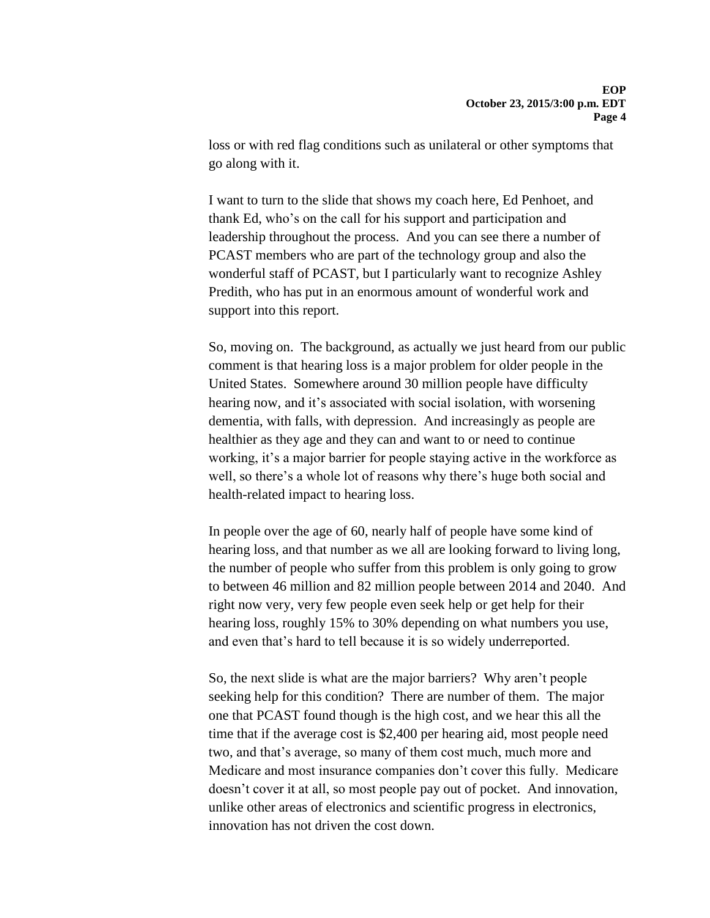loss or with red flag conditions such as unilateral or other symptoms that go along with it.

I want to turn to the slide that shows my coach here, Ed Penhoet, and thank Ed, who's on the call for his support and participation and leadership throughout the process. And you can see there a number of PCAST members who are part of the technology group and also the wonderful staff of PCAST, but I particularly want to recognize Ashley Predith, who has put in an enormous amount of wonderful work and support into this report.

So, moving on. The background, as actually we just heard from our public comment is that hearing loss is a major problem for older people in the United States. Somewhere around 30 million people have difficulty hearing now, and it's associated with social isolation, with worsening dementia, with falls, with depression. And increasingly as people are healthier as they age and they can and want to or need to continue working, it's a major barrier for people staying active in the workforce as well, so there's a whole lot of reasons why there's huge both social and health-related impact to hearing loss.

In people over the age of 60, nearly half of people have some kind of hearing loss, and that number as we all are looking forward to living long, the number of people who suffer from this problem is only going to grow to between 46 million and 82 million people between 2014 and 2040. And right now very, very few people even seek help or get help for their hearing loss, roughly 15% to 30% depending on what numbers you use, and even that's hard to tell because it is so widely underreported.

So, the next slide is what are the major barriers? Why aren't people seeking help for this condition? There are number of them. The major one that PCAST found though is the high cost, and we hear this all the time that if the average cost is \$2,400 per hearing aid, most people need two, and that's average, so many of them cost much, much more and Medicare and most insurance companies don't cover this fully. Medicare doesn't cover it at all, so most people pay out of pocket. And innovation, unlike other areas of electronics and scientific progress in electronics, innovation has not driven the cost down.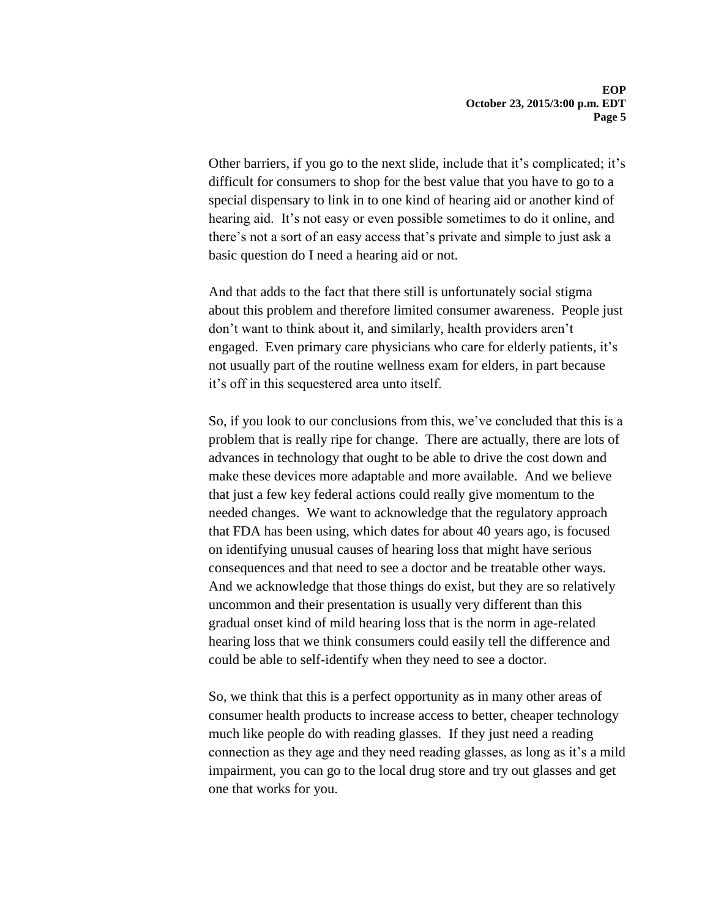Other barriers, if you go to the next slide, include that it's complicated; it's difficult for consumers to shop for the best value that you have to go to a special dispensary to link in to one kind of hearing aid or another kind of hearing aid. It's not easy or even possible sometimes to do it online, and there's not a sort of an easy access that's private and simple to just ask a basic question do I need a hearing aid or not.

And that adds to the fact that there still is unfortunately social stigma about this problem and therefore limited consumer awareness. People just don't want to think about it, and similarly, health providers aren't engaged. Even primary care physicians who care for elderly patients, it's not usually part of the routine wellness exam for elders, in part because it's off in this sequestered area unto itself.

So, if you look to our conclusions from this, we've concluded that this is a problem that is really ripe for change. There are actually, there are lots of advances in technology that ought to be able to drive the cost down and make these devices more adaptable and more available. And we believe that just a few key federal actions could really give momentum to the needed changes. We want to acknowledge that the regulatory approach that FDA has been using, which dates for about 40 years ago, is focused on identifying unusual causes of hearing loss that might have serious consequences and that need to see a doctor and be treatable other ways. And we acknowledge that those things do exist, but they are so relatively uncommon and their presentation is usually very different than this gradual onset kind of mild hearing loss that is the norm in age-related hearing loss that we think consumers could easily tell the difference and could be able to self-identify when they need to see a doctor.

So, we think that this is a perfect opportunity as in many other areas of consumer health products to increase access to better, cheaper technology much like people do with reading glasses. If they just need a reading connection as they age and they need reading glasses, as long as it's a mild impairment, you can go to the local drug store and try out glasses and get one that works for you.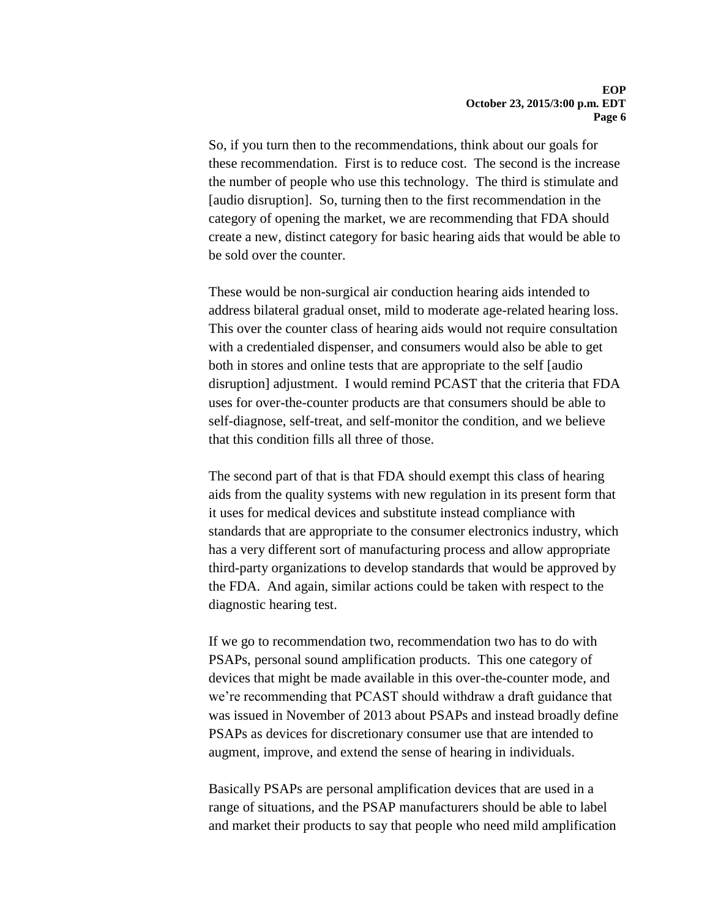So, if you turn then to the recommendations, think about our goals for these recommendation. First is to reduce cost. The second is the increase the number of people who use this technology. The third is stimulate and [audio disruption]. So, turning then to the first recommendation in the category of opening the market, we are recommending that FDA should create a new, distinct category for basic hearing aids that would be able to be sold over the counter.

These would be non-surgical air conduction hearing aids intended to address bilateral gradual onset, mild to moderate age-related hearing loss. This over the counter class of hearing aids would not require consultation with a credentialed dispenser, and consumers would also be able to get both in stores and online tests that are appropriate to the self [audio disruption] adjustment. I would remind PCAST that the criteria that FDA uses for over-the-counter products are that consumers should be able to self-diagnose, self-treat, and self-monitor the condition, and we believe that this condition fills all three of those.

The second part of that is that FDA should exempt this class of hearing aids from the quality systems with new regulation in its present form that it uses for medical devices and substitute instead compliance with standards that are appropriate to the consumer electronics industry, which has a very different sort of manufacturing process and allow appropriate third-party organizations to develop standards that would be approved by the FDA. And again, similar actions could be taken with respect to the diagnostic hearing test.

If we go to recommendation two, recommendation two has to do with PSAPs, personal sound amplification products. This one category of devices that might be made available in this over-the-counter mode, and we're recommending that PCAST should withdraw a draft guidance that was issued in November of 2013 about PSAPs and instead broadly define PSAPs as devices for discretionary consumer use that are intended to augment, improve, and extend the sense of hearing in individuals.

Basically PSAPs are personal amplification devices that are used in a range of situations, and the PSAP manufacturers should be able to label and market their products to say that people who need mild amplification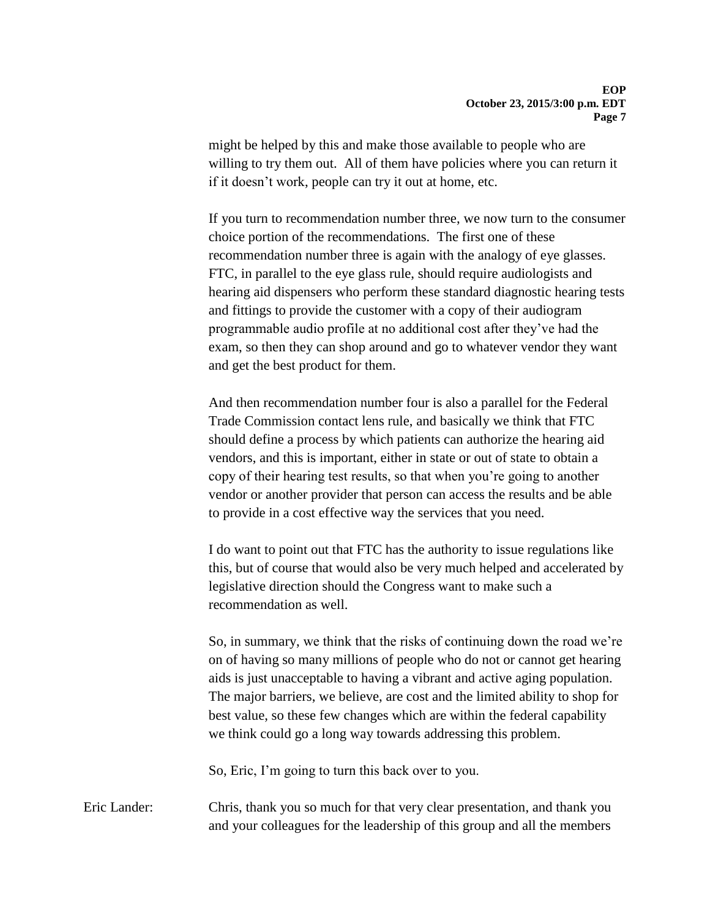might be helped by this and make those available to people who are willing to try them out. All of them have policies where you can return it if it doesn't work, people can try it out at home, etc.

If you turn to recommendation number three, we now turn to the consumer choice portion of the recommendations. The first one of these recommendation number three is again with the analogy of eye glasses. FTC, in parallel to the eye glass rule, should require audiologists and hearing aid dispensers who perform these standard diagnostic hearing tests and fittings to provide the customer with a copy of their audiogram programmable audio profile at no additional cost after they've had the exam, so then they can shop around and go to whatever vendor they want and get the best product for them.

And then recommendation number four is also a parallel for the Federal Trade Commission contact lens rule, and basically we think that FTC should define a process by which patients can authorize the hearing aid vendors, and this is important, either in state or out of state to obtain a copy of their hearing test results, so that when you're going to another vendor or another provider that person can access the results and be able to provide in a cost effective way the services that you need.

I do want to point out that FTC has the authority to issue regulations like this, but of course that would also be very much helped and accelerated by legislative direction should the Congress want to make such a recommendation as well.

So, in summary, we think that the risks of continuing down the road we're on of having so many millions of people who do not or cannot get hearing aids is just unacceptable to having a vibrant and active aging population. The major barriers, we believe, are cost and the limited ability to shop for best value, so these few changes which are within the federal capability we think could go a long way towards addressing this problem.

So, Eric, I'm going to turn this back over to you.

Eric Lander: Chris, thank you so much for that very clear presentation, and thank you and your colleagues for the leadership of this group and all the members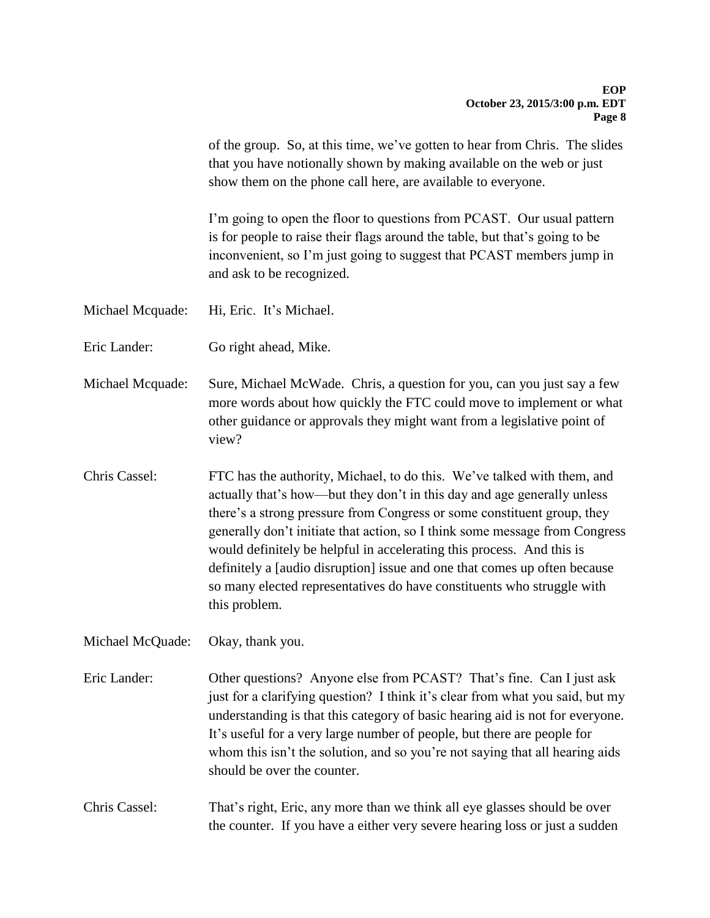of the group. So, at this time, we've gotten to hear from Chris. The slides that you have notionally shown by making available on the web or just show them on the phone call here, are available to everyone.

I'm going to open the floor to questions from PCAST. Our usual pattern is for people to raise their flags around the table, but that's going to be inconvenient, so I'm just going to suggest that PCAST members jump in and ask to be recognized.

Michael Mcquade: Hi, Eric. It's Michael.

Eric Lander: Go right ahead, Mike.

Michael Mcquade: Sure, Michael McWade. Chris, a question for you, can you just say a few more words about how quickly the FTC could move to implement or what other guidance or approvals they might want from a legislative point of view?

Chris Cassel: FTC has the authority, Michael, to do this. We've talked with them, and actually that's how—but they don't in this day and age generally unless there's a strong pressure from Congress or some constituent group, they generally don't initiate that action, so I think some message from Congress would definitely be helpful in accelerating this process. And this is definitely a [audio disruption] issue and one that comes up often because so many elected representatives do have constituents who struggle with this problem.

Michael McQuade: Okay, thank you.

Eric Lander: Other questions? Anyone else from PCAST? That's fine. Can I just ask just for a clarifying question? I think it's clear from what you said, but my understanding is that this category of basic hearing aid is not for everyone. It's useful for a very large number of people, but there are people for whom this isn't the solution, and so you're not saying that all hearing aids should be over the counter.

Chris Cassel: That's right, Eric, any more than we think all eye glasses should be over the counter. If you have a either very severe hearing loss or just a sudden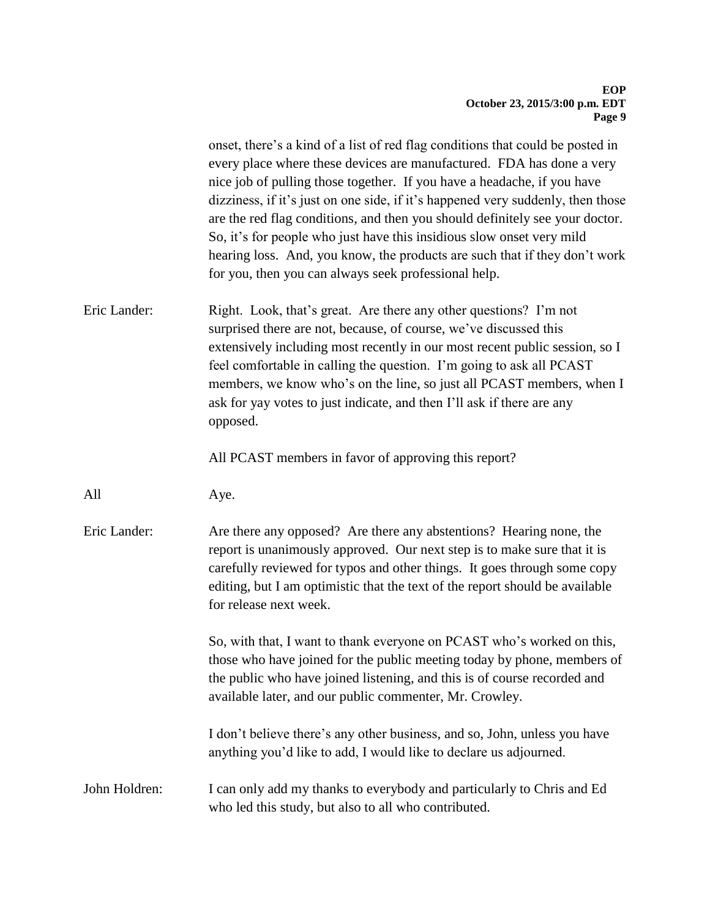|               | onset, there's a kind of a list of red flag conditions that could be posted in<br>every place where these devices are manufactured. FDA has done a very<br>nice job of pulling those together. If you have a headache, if you have<br>dizziness, if it's just on one side, if it's happened very suddenly, then those<br>are the red flag conditions, and then you should definitely see your doctor.<br>So, it's for people who just have this insidious slow onset very mild<br>hearing loss. And, you know, the products are such that if they don't work<br>for you, then you can always seek professional help. |
|---------------|----------------------------------------------------------------------------------------------------------------------------------------------------------------------------------------------------------------------------------------------------------------------------------------------------------------------------------------------------------------------------------------------------------------------------------------------------------------------------------------------------------------------------------------------------------------------------------------------------------------------|
| Eric Lander:  | Right. Look, that's great. Are there any other questions? I'm not<br>surprised there are not, because, of course, we've discussed this<br>extensively including most recently in our most recent public session, so I<br>feel comfortable in calling the question. I'm going to ask all PCAST<br>members, we know who's on the line, so just all PCAST members, when I<br>ask for yay votes to just indicate, and then I'll ask if there are any<br>opposed.                                                                                                                                                         |
|               | All PCAST members in favor of approving this report?                                                                                                                                                                                                                                                                                                                                                                                                                                                                                                                                                                 |
| All           | Aye.                                                                                                                                                                                                                                                                                                                                                                                                                                                                                                                                                                                                                 |
| Eric Lander:  | Are there any opposed? Are there any abstentions? Hearing none, the<br>report is unanimously approved. Our next step is to make sure that it is<br>carefully reviewed for typos and other things. It goes through some copy<br>editing, but I am optimistic that the text of the report should be available<br>for release next week.                                                                                                                                                                                                                                                                                |
|               | So, with that, I want to thank everyone on PCAST who's worked on this,<br>those who have joined for the public meeting today by phone, members of<br>the public who have joined listening, and this is of course recorded and<br>available later, and our public commenter, Mr. Crowley.                                                                                                                                                                                                                                                                                                                             |
|               | I don't believe there's any other business, and so, John, unless you have<br>anything you'd like to add, I would like to declare us adjourned.                                                                                                                                                                                                                                                                                                                                                                                                                                                                       |
| John Holdren: | I can only add my thanks to everybody and particularly to Chris and Ed<br>who led this study, but also to all who contributed.                                                                                                                                                                                                                                                                                                                                                                                                                                                                                       |